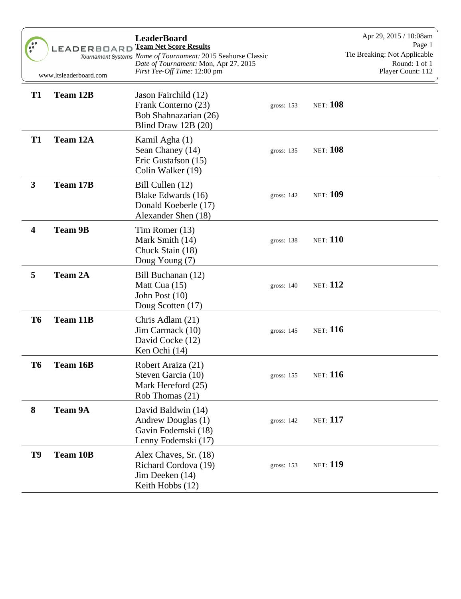|                         | <b>LEADERBOARD</b><br>www.ltsleaderboard.com | <b>LeaderBoard</b><br><b>Team Net Score Results</b><br>Tournament Systems Name of Tournament: 2015 Seahorse Classic<br>Date of Tournament: Mon, Apr 27, 2015<br>First Tee-Off Time: 12:00 pm |              | Apr 29, 2015 / 10:08am<br>Page 1<br>Tie Breaking: Not Applicable<br>Round: 1 of 1<br>Player Count: 112 |
|-------------------------|----------------------------------------------|----------------------------------------------------------------------------------------------------------------------------------------------------------------------------------------------|--------------|--------------------------------------------------------------------------------------------------------|
| <b>T1</b>               | <b>Team 12B</b>                              | Jason Fairchild (12)<br>Frank Conterno (23)<br>Bob Shahnazarian (26)<br>Blind Draw 12B (20)                                                                                                  | gross: $153$ | <b>NET:</b> 108                                                                                        |
| <b>T1</b>               | Team 12A                                     | Kamil Agha (1)<br>Sean Chaney (14)<br>Eric Gustafson (15)<br>Colin Walker (19)                                                                                                               | gross: 135   | <b>NET:</b> 108                                                                                        |
| $\mathbf{3}$            | <b>Team 17B</b>                              | Bill Cullen (12)<br>Blake Edwards (16)<br>Donald Koeberle (17)<br>Alexander Shen (18)                                                                                                        | gross: $142$ | <b>NET: 109</b>                                                                                        |
| $\overline{\mathbf{4}}$ | <b>Team 9B</b>                               | Tim Romer (13)<br>Mark Smith (14)<br>Chuck Stain (18)<br>Doug Young (7)                                                                                                                      | gross: 138   | <b>NET:</b> 110                                                                                        |
| 5                       | <b>Team 2A</b>                               | Bill Buchanan (12)<br>Matt Cua (15)<br>John Post (10)<br>Doug Scotten (17)                                                                                                                   | gross: 140   | <b>NET:</b> 112                                                                                        |
| T <sub>6</sub>          | <b>Team 11B</b>                              | Chris Adlam (21)<br>Jim Carmack (10)<br>David Cocke (12)<br>Ken Ochi (14)                                                                                                                    | gross: $145$ | <b>NET:</b> 116                                                                                        |
| T <sub>6</sub>          | <b>Team 16B</b>                              | Robert Araiza (21)<br>Steven Garcia (10)<br>Mark Hereford (25)<br>Rob Thomas (21)                                                                                                            | gross: 155   | <b>NET:</b> 116                                                                                        |
| 8                       | <b>Team 9A</b>                               | David Baldwin (14)<br>Andrew Douglas (1)<br>Gavin Fodemski (18)<br>Lenny Fodemski (17)                                                                                                       | gross: 142   | <b>NET:</b> 117                                                                                        |
| T9                      | <b>Team 10B</b>                              | Alex Chaves, Sr. (18)<br>Richard Cordova (19)<br>Jim Deeken (14)<br>Keith Hobbs (12)                                                                                                         | gross: 153   | <b>NET: 119</b>                                                                                        |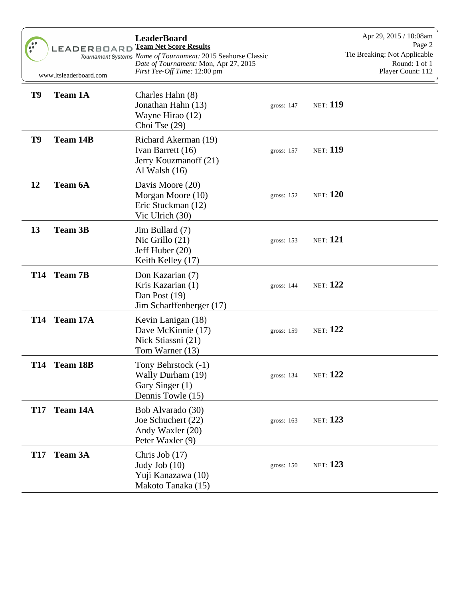| $\bullet \bullet$<br>$\bullet$ $\bullet$ | <b>LEADERBOARD</b><br>www.ltsleaderboard.com | <b>LeaderBoard</b><br><b>Team Net Score Results</b><br>Tournament Systems Name of Tournament: 2015 Seahorse Classic<br>Date of Tournament: Mon, Apr 27, 2015<br>First Tee-Off Time: 12:00 pm |            | Apr 29, 2015 / 10:08am<br>Page 2<br>Tie Breaking: Not Applicable<br>Round: 1 of 1<br>Player Count: 112 |
|------------------------------------------|----------------------------------------------|----------------------------------------------------------------------------------------------------------------------------------------------------------------------------------------------|------------|--------------------------------------------------------------------------------------------------------|
| T9                                       | <b>Team 1A</b>                               | Charles Hahn (8)<br>Jonathan Hahn (13)<br>Wayne Hirao (12)<br>Choi Tse $(29)$                                                                                                                | gross: 147 | <b>NET: 119</b>                                                                                        |
| T9                                       | <b>Team 14B</b>                              | Richard Akerman (19)<br>Ivan Barrett (16)<br>Jerry Kouzmanoff (21)<br>Al Walsh $(16)$                                                                                                        | gross: 157 | <b>NET: 119</b>                                                                                        |
| 12                                       | Team 6A                                      | Davis Moore (20)<br>Morgan Moore (10)<br>Eric Stuckman (12)<br>Vic Ulrich (30)                                                                                                               | gross: 152 | <b>NET:</b> 120                                                                                        |
| 13                                       | <b>Team 3B</b>                               | Jim Bullard (7)<br>Nic Grillo $(21)$<br>Jeff Huber (20)<br>Keith Kelley (17)                                                                                                                 | gross: 153 | <b>NET:</b> 121                                                                                        |
|                                          | T14 Team 7B                                  | Don Kazarian (7)<br>Kris Kazarian (1)<br>Dan Post (19)<br>Jim Scharffenberger (17)                                                                                                           | gross: 144 | <b>NET:</b> 122                                                                                        |
|                                          | T14 Team 17A                                 | Kevin Lanigan (18)<br>Dave McKinnie (17)<br>Nick Stiassni (21)<br>Tom Warner (13)                                                                                                            | gross: 159 | <b>NET:</b> 122                                                                                        |
|                                          | T14 Team 18B                                 | Tony Behrstock (-1)<br>Wally Durham (19)<br>Gary Singer (1)<br>Dennis Towle (15)                                                                                                             | gross: 134 | <b>NET:</b> 122                                                                                        |
| <b>T17</b>                               | Team 14A                                     | Bob Alvarado (30)<br>Joe Schuchert (22)<br>Andy Waxler (20)<br>Peter Waxler (9)                                                                                                              | gross: 163 | <b>NET:</b> 123                                                                                        |
| <b>T17</b>                               | <b>Team 3A</b>                               | Chris Job (17)<br>Judy Job $(10)$<br>Yuji Kanazawa (10)<br>Makoto Tanaka (15)                                                                                                                | gross: 150 | <b>NET:</b> 123                                                                                        |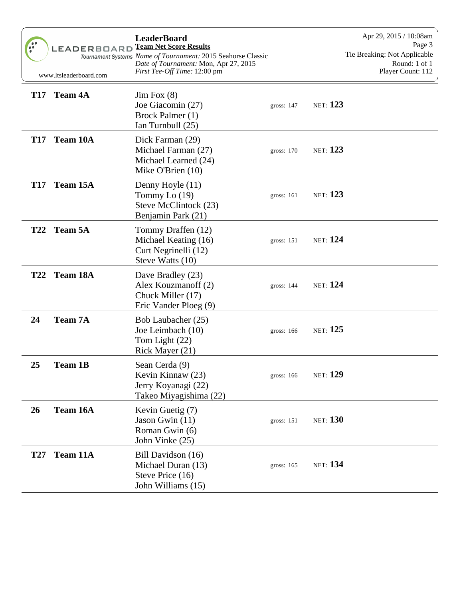| $\frac{1}{2}$ | LEADERBOARD<br>www.ltsleaderboard.com | <b>LeaderBoard</b><br><b>Team Net Score Results</b><br>Tournament Systems Name of Tournament: 2015 Seahorse Classic<br>Date of Tournament: Mon, Apr 27, 2015<br>First Tee-Off Time: 12:00 pm |              |                 | Apr 29, 2015 / 10:08am<br>Page 3<br>Tie Breaking: Not Applicable<br>Round: 1 of 1<br>Player Count: 112 |
|---------------|---------------------------------------|----------------------------------------------------------------------------------------------------------------------------------------------------------------------------------------------|--------------|-----------------|--------------------------------------------------------------------------------------------------------|
| <b>T17</b>    | <b>Team 4A</b>                        | $\text{Jim Fox } (8)$<br>Joe Giacomin (27)<br>Brock Palmer (1)<br>Ian Turnbull (25)                                                                                                          | gross: $147$ | <b>NET:</b> 123 |                                                                                                        |
| <b>T17</b>    | <b>Team 10A</b>                       | Dick Farman (29)<br>Michael Farman (27)<br>Michael Learned (24)<br>Mike O'Brien (10)                                                                                                         | gross: 170   | <b>NET:</b> 123 |                                                                                                        |
|               | T17 Team 15A                          | Denny Hoyle (11)<br>Tommy Lo $(19)$<br>Steve McClintock (23)<br>Benjamin Park (21)                                                                                                           | gross: 161   | <b>NET:</b> 123 |                                                                                                        |
| <b>T22</b>    | <b>Team 5A</b>                        | Tommy Draffen (12)<br>Michael Keating (16)<br>Curt Negrinelli (12)<br>Steve Watts (10)                                                                                                       | gross: 151   | <b>NET:</b> 124 |                                                                                                        |
|               | T22 Team 18A                          | Dave Bradley (23)<br>Alex Kouzmanoff (2)<br>Chuck Miller (17)<br>Eric Vander Ploeg (9)                                                                                                       | gross: 144   | <b>NET:</b> 124 |                                                                                                        |
| 24            | <b>Team 7A</b>                        | Bob Laubacher (25)<br>Joe Leimbach (10)<br>Tom Light (22)<br>Rick Mayer (21)                                                                                                                 | gross: $166$ | <b>NET:</b> 125 |                                                                                                        |
| 25            | <b>Team 1B</b>                        | Sean Cerda (9)<br>Kevin Kinnaw (23)<br>Jerry Koyanagi (22)<br>Takeo Miyagishima (22)                                                                                                         | gross: 166   | <b>NET:</b> 129 |                                                                                                        |
| 26            | Team 16A                              | Kevin Guetig (7)<br>Jason Gwin (11)<br>Roman Gwin (6)<br>John Vinke (25)                                                                                                                     | gross: 151   | <b>NET:</b> 130 |                                                                                                        |
| <b>T27</b>    | Team 11A                              | Bill Davidson (16)<br>Michael Duran (13)<br>Steve Price (16)<br>John Williams (15)                                                                                                           | gross: 165   | <b>NET:</b> 134 |                                                                                                        |